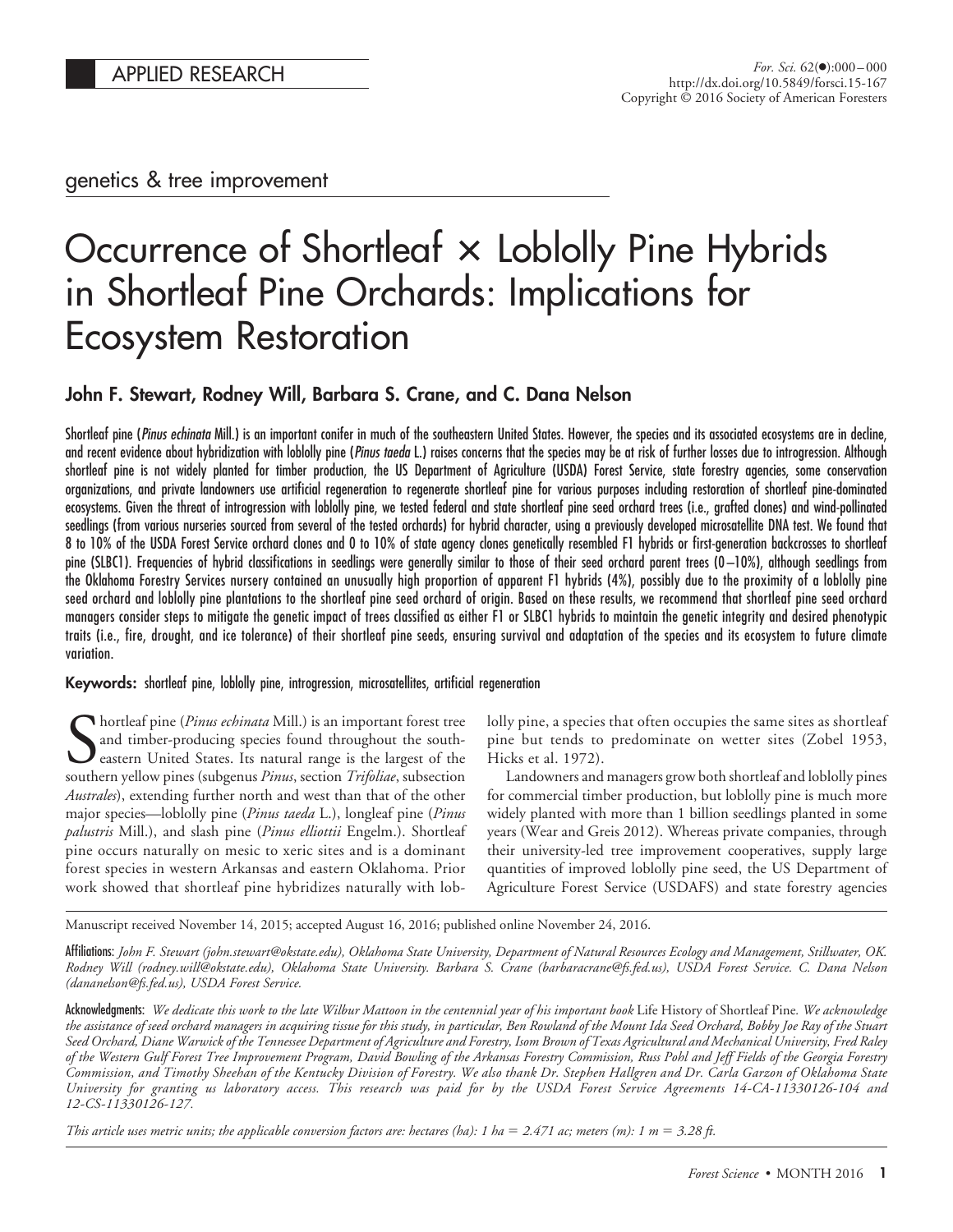genetics & tree improvement

# Occurrence of Shortleat × Loblolly Pine Hybrids in Shortleaf Pine Orchards: Implications for Ecosystem Restoration

# **John F. Stewart, Rodney Will, Barbara S. Crane, and C. Dana Nelson**

Shortleaf pine (*Pinus echinata* Mill.) is an important conifer in much of the southeastern United States. However, the species and its associated ecosystems are in decline, and recent evidence about hybridization with loblolly pine (*Pinus taeda* L.) raises concerns that the species may be at risk of further losses due to introgression. Although shortleaf pine is not widely planted for timber production, the US Department of Agriculture (USDA) Forest Service, state forestry agencies, some conservation organizations, and private landowners use artificial regeneration to regenerate shortleaf pine for various purposes including restoration of shortleaf pine-dominated ecosystems. Given the threat of introgression with loblolly pine, we tested federal and state shortleaf pine seed orchard trees (i.e., grafted clones) and wind-pollinated seedlings (from various nurseries sourced from several of the tested orchards) for hybrid character, using a previously developed microsatellite DNA test. We found that 8 to 10% of the USDA Forest Service orchard clones and 0 to 10% of state agency clones genetically resembled F1 hybrids or first-generation backcrosses to shortleaf pine (SLBC1). Frequencies of hybrid classifications in seedlings were generally similar to those of their seed orchard parent trees (0 –10%), although seedlings from the Oklahoma Forestry Services nursery contained an unusually high proportion of apparent F1 hybrids (4%), possibly due to the proximity of a loblolly pine seed orchard and loblolly pine plantations to the shortleaf pine seed orchard of origin. Based on these results, we recommend that shortleaf pine seed orchard managers consider steps to mitigate the genetic impact of trees classified as either F1 or SLBC1 hybrids to maintain the genetic integrity and desired phenotypic traits (i.e., fire, drought, and ice tolerance) of their shortleaf pine seeds, ensuring survival and adaptation of the species and its ecosystem to future climate variation.

#### **Keywords:** shortleaf pine, loblolly pine, introgression, microsatellites, artificial regeneration

**S** hortleaf pine (*Pinus echinata* Mill.) is an important forest tree<br>and timber-producing species found throughout the south-<br>eastern United States. Its natural range is the largest of the<br>southern vellow pines (subgenus and timber-producing species found throughout the southeastern United States. Its natural range is the largest of the southern yellow pines (subgenus *Pinus*, section *Trifoliae*, subsection *Australes*), extending further north and west than that of the other major species—loblolly pine (*Pinus taeda* L.), longleaf pine (*Pinus palustris* Mill.), and slash pine (*Pinus elliottii* Engelm.). Shortleaf pine occurs naturally on mesic to xeric sites and is a dominant forest species in western Arkansas and eastern Oklahoma. Prior work showed that shortleaf pine hybridizes naturally with loblolly pine, a species that often occupies the same sites as shortleaf pine but tends to predominate on wetter sites (Zobel 1953, Hicks et al. 1972).

Landowners and managers grow both shortleaf and loblolly pines for commercial timber production, but loblolly pine is much more widely planted with more than 1 billion seedlings planted in some years (Wear and Greis 2012). Whereas private companies, through their university-led tree improvement cooperatives, supply large quantities of improved loblolly pine seed, the US Department of Agriculture Forest Service (USDAFS) and state forestry agencies

Manuscript received November 14, 2015; accepted August 16, 2016; published online November 24, 2016.

Affiliations: *John F. Stewart (john.stewart@okstate.edu), Oklahoma State University, Department of Natural Resources Ecology and Management, Stillwater, OK. Rodney Will (rodney.will@okstate.edu), Oklahoma State University. Barbara S. Crane (barbaracrane@fs.fed.us), USDA Forest Service. C. Dana Nelson (dananelson@fs.fed.us), USDA Forest Service.*

Acknowledgments: *We dedicate this work to the late Wilbur Mattoon in the centennial year of his important book* Life History of Shortleaf Pine*. We acknowledge the assistance of seed orchard managers in acquiring tissue for this study, in particular, Ben Rowland of the Mount Ida Seed Orchard, Bobby Joe Ray of the Stuart Seed Orchard, Diane Warwick of the Tennessee Department of Agriculture and Forestry, Isom Brown of Texas Agricultural and Mechanical University, Fred Raley of the Western Gulf Forest Tree Improvement Program, David Bowling of the Arkansas Forestry Commission, Russ Pohl and Jeff Fields of the Georgia Forestry Commission, and Timothy Sheehan of the Kentucky Division of Forestry. We also thank Dr. Stephen Hallgren and Dr. Carla Garzon of Oklahoma State University for granting us laboratory access. This research was paid for by the USDA Forest Service Agreements 14-CA-11330126-104 and 12-CS-11330126-127.*

This article uses metric units; the applicable conversion factors are: hectares (ha):  $1 \text{ ha} = 2.471 \text{ ac}$ ; meters (m):  $1 \text{ m} = 3.28 \text{ ft}$ .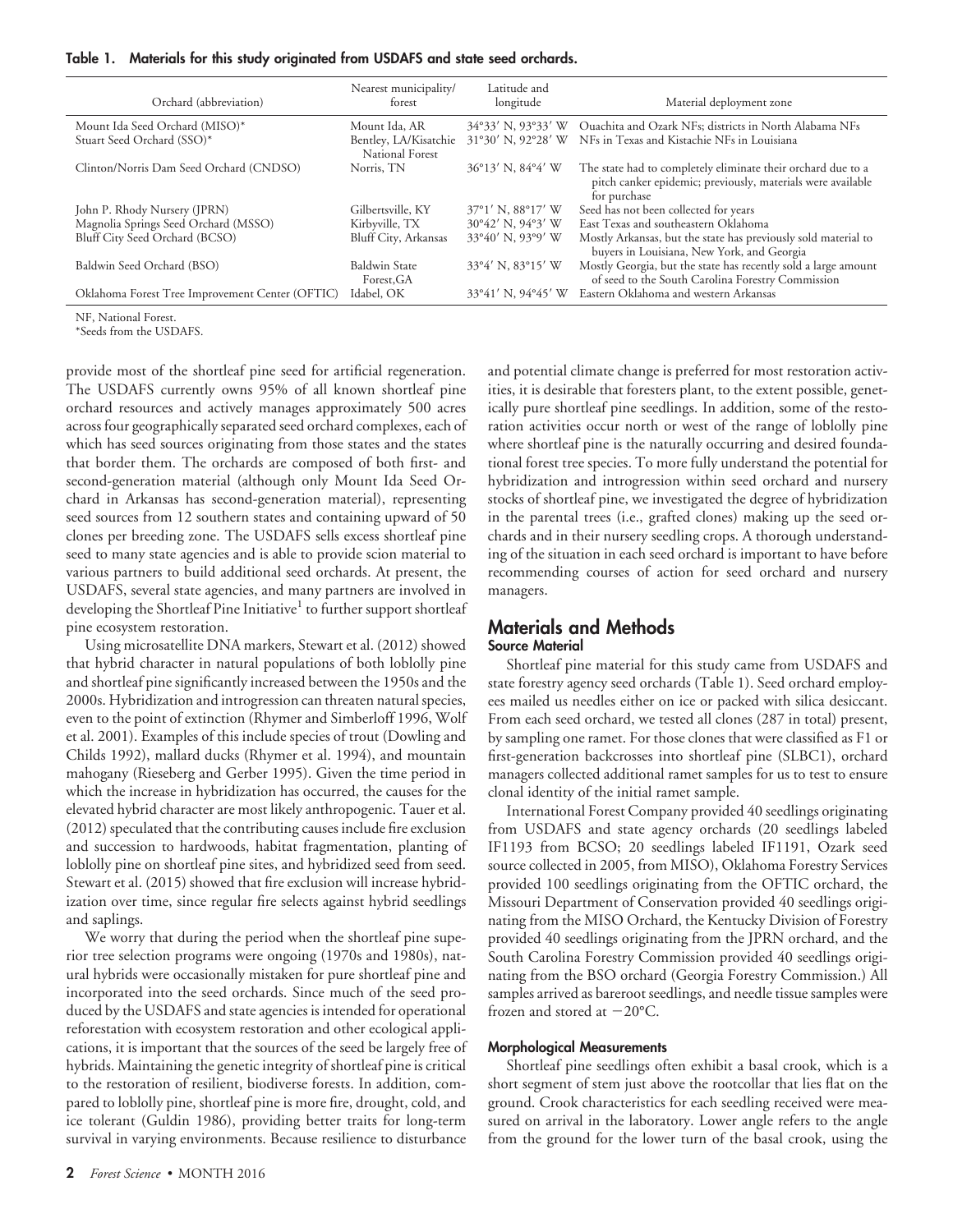| Table 1. |  |  |  |  |  | Materials for this study originated from USDAFS and state seed orchards. |  |  |  |  |
|----------|--|--|--|--|--|--------------------------------------------------------------------------|--|--|--|--|
|----------|--|--|--|--|--|--------------------------------------------------------------------------|--|--|--|--|

| Ouachita and Ozark NFs; districts in North Alabama NFs<br>Mount Ida Seed Orchard (MISO)*<br>$34^{\circ}33'$ N, $93^{\circ}33'$ W<br>Mount Ida, AR<br>NFs in Texas and Kistachie NFs in Louisiana<br>Stuart Seed Orchard (SSO)*<br>Bentley, LA/Kisatchie<br>$31°30'$ N, 92°28' W<br>National Forest<br>36°13' N, 84°4' W<br>The state had to completely eliminate their orchard due to a<br>Clinton/Norris Dam Seed Orchard (CNDSO)<br>Norris, TN<br>pitch canker epidemic; previously, materials were available<br>for purchase<br>37°1' N, 88°17' W<br>Seed has not been collected for years<br>Gilbertsville, KY<br>John P. Rhody Nursery (JPRN)<br>Magnolia Springs Seed Orchard (MSSO)<br>East Texas and southeastern Oklahoma<br>30°42' N, 94°3' W<br>Kirbyville, TX<br>Bluff City Seed Orchard (BCSO)<br>Bluff City, Arkansas<br>33°40' N, 93°9' W<br>Mostly Arkansas, but the state has previously sold material to<br>buyers in Louisiana, New York, and Georgia<br>Mostly Georgia, but the state has recently sold a large amount<br>$33^{\circ}4'$ N, $83^{\circ}15'$ W<br><b>Baldwin State</b><br>Baldwin Seed Orchard (BSO) | Orchard (abbreviation) | Nearest municipality/<br>forest | Latitude and<br>longitude | Material deployment zone                          |
|-----------------------------------------------------------------------------------------------------------------------------------------------------------------------------------------------------------------------------------------------------------------------------------------------------------------------------------------------------------------------------------------------------------------------------------------------------------------------------------------------------------------------------------------------------------------------------------------------------------------------------------------------------------------------------------------------------------------------------------------------------------------------------------------------------------------------------------------------------------------------------------------------------------------------------------------------------------------------------------------------------------------------------------------------------------------------------------------------------------------------------------------|------------------------|---------------------------------|---------------------------|---------------------------------------------------|
|                                                                                                                                                                                                                                                                                                                                                                                                                                                                                                                                                                                                                                                                                                                                                                                                                                                                                                                                                                                                                                                                                                                                         |                        |                                 |                           |                                                   |
|                                                                                                                                                                                                                                                                                                                                                                                                                                                                                                                                                                                                                                                                                                                                                                                                                                                                                                                                                                                                                                                                                                                                         |                        |                                 |                           |                                                   |
|                                                                                                                                                                                                                                                                                                                                                                                                                                                                                                                                                                                                                                                                                                                                                                                                                                                                                                                                                                                                                                                                                                                                         |                        |                                 |                           |                                                   |
|                                                                                                                                                                                                                                                                                                                                                                                                                                                                                                                                                                                                                                                                                                                                                                                                                                                                                                                                                                                                                                                                                                                                         |                        |                                 |                           |                                                   |
|                                                                                                                                                                                                                                                                                                                                                                                                                                                                                                                                                                                                                                                                                                                                                                                                                                                                                                                                                                                                                                                                                                                                         |                        |                                 |                           |                                                   |
|                                                                                                                                                                                                                                                                                                                                                                                                                                                                                                                                                                                                                                                                                                                                                                                                                                                                                                                                                                                                                                                                                                                                         |                        |                                 |                           |                                                   |
|                                                                                                                                                                                                                                                                                                                                                                                                                                                                                                                                                                                                                                                                                                                                                                                                                                                                                                                                                                                                                                                                                                                                         |                        | Forest, GA                      |                           | of seed to the South Carolina Forestry Commission |
| Eastern Oklahoma and western Arkansas<br>Idabel, OK<br>$33^{\circ}41'$ N, $94^{\circ}45'$ W<br>Oklahoma Forest Tree Improvement Center (OFTIC)                                                                                                                                                                                                                                                                                                                                                                                                                                                                                                                                                                                                                                                                                                                                                                                                                                                                                                                                                                                          |                        |                                 |                           |                                                   |

NF, National Forest.

\*Seeds from the USDAFS.

provide most of the shortleaf pine seed for artificial regeneration. The USDAFS currently owns 95% of all known shortleaf pine orchard resources and actively manages approximately 500 acres across four geographically separated seed orchard complexes, each of which has seed sources originating from those states and the states that border them. The orchards are composed of both first- and second-generation material (although only Mount Ida Seed Orchard in Arkansas has second-generation material), representing seed sources from 12 southern states and containing upward of 50 clones per breeding zone. The USDAFS sells excess shortleaf pine seed to many state agencies and is able to provide scion material to various partners to build additional seed orchards. At present, the USDAFS, several state agencies, and many partners are involved in developing the Shortleaf Pine Initiative<sup>1</sup> to further support shortleaf pine ecosystem restoration.

Using microsatellite DNA markers, Stewart et al. (2012) showed that hybrid character in natural populations of both loblolly pine and shortleaf pine significantly increased between the 1950s and the 2000s. Hybridization and introgression can threaten natural species, even to the point of extinction (Rhymer and Simberloff 1996, Wolf et al. 2001). Examples of this include species of trout (Dowling and Childs 1992), mallard ducks (Rhymer et al. 1994), and mountain mahogany (Rieseberg and Gerber 1995). Given the time period in which the increase in hybridization has occurred, the causes for the elevated hybrid character are most likely anthropogenic. Tauer et al. (2012) speculated that the contributing causes include fire exclusion and succession to hardwoods, habitat fragmentation, planting of loblolly pine on shortleaf pine sites, and hybridized seed from seed. Stewart et al. (2015) showed that fire exclusion will increase hybridization over time, since regular fire selects against hybrid seedlings and saplings.

We worry that during the period when the shortleaf pine superior tree selection programs were ongoing (1970s and 1980s), natural hybrids were occasionally mistaken for pure shortleaf pine and incorporated into the seed orchards. Since much of the seed produced by the USDAFS and state agencies is intended for operational reforestation with ecosystem restoration and other ecological applications, it is important that the sources of the seed be largely free of hybrids. Maintaining the genetic integrity of shortleaf pine is critical to the restoration of resilient, biodiverse forests. In addition, compared to loblolly pine, shortleaf pine is more fire, drought, cold, and ice tolerant (Guldin 1986), providing better traits for long-term survival in varying environments. Because resilience to disturbance

and potential climate change is preferred for most restoration activities, it is desirable that foresters plant, to the extent possible, genetically pure shortleaf pine seedlings. In addition, some of the restoration activities occur north or west of the range of loblolly pine where shortleaf pine is the naturally occurring and desired foundational forest tree species. To more fully understand the potential for hybridization and introgression within seed orchard and nursery stocks of shortleaf pine, we investigated the degree of hybridization in the parental trees (i.e., grafted clones) making up the seed orchards and in their nursery seedling crops. A thorough understanding of the situation in each seed orchard is important to have before recommending courses of action for seed orchard and nursery managers.

# **Materials and Methods**

#### **Source Material**

Shortleaf pine material for this study came from USDAFS and state forestry agency seed orchards (Table 1). Seed orchard employees mailed us needles either on ice or packed with silica desiccant. From each seed orchard, we tested all clones (287 in total) present, by sampling one ramet. For those clones that were classified as F1 or first-generation backcrosses into shortleaf pine (SLBC1), orchard managers collected additional ramet samples for us to test to ensure clonal identity of the initial ramet sample.

International Forest Company provided 40 seedlings originating from USDAFS and state agency orchards (20 seedlings labeled IF1193 from BCSO; 20 seedlings labeled IF1191, Ozark seed source collected in 2005, from MISO), Oklahoma Forestry Services provided 100 seedlings originating from the OFTIC orchard, the Missouri Department of Conservation provided 40 seedlings originating from the MISO Orchard, the Kentucky Division of Forestry provided 40 seedlings originating from the JPRN orchard, and the South Carolina Forestry Commission provided 40 seedlings originating from the BSO orchard (Georgia Forestry Commission.) All samples arrived as bareroot seedlings, and needle tissue samples were frozen and stored at  $-20^{\circ}$ C.

#### **Morphological Measurements**

Shortleaf pine seedlings often exhibit a basal crook, which is a short segment of stem just above the rootcollar that lies flat on the ground. Crook characteristics for each seedling received were measured on arrival in the laboratory. Lower angle refers to the angle from the ground for the lower turn of the basal crook, using the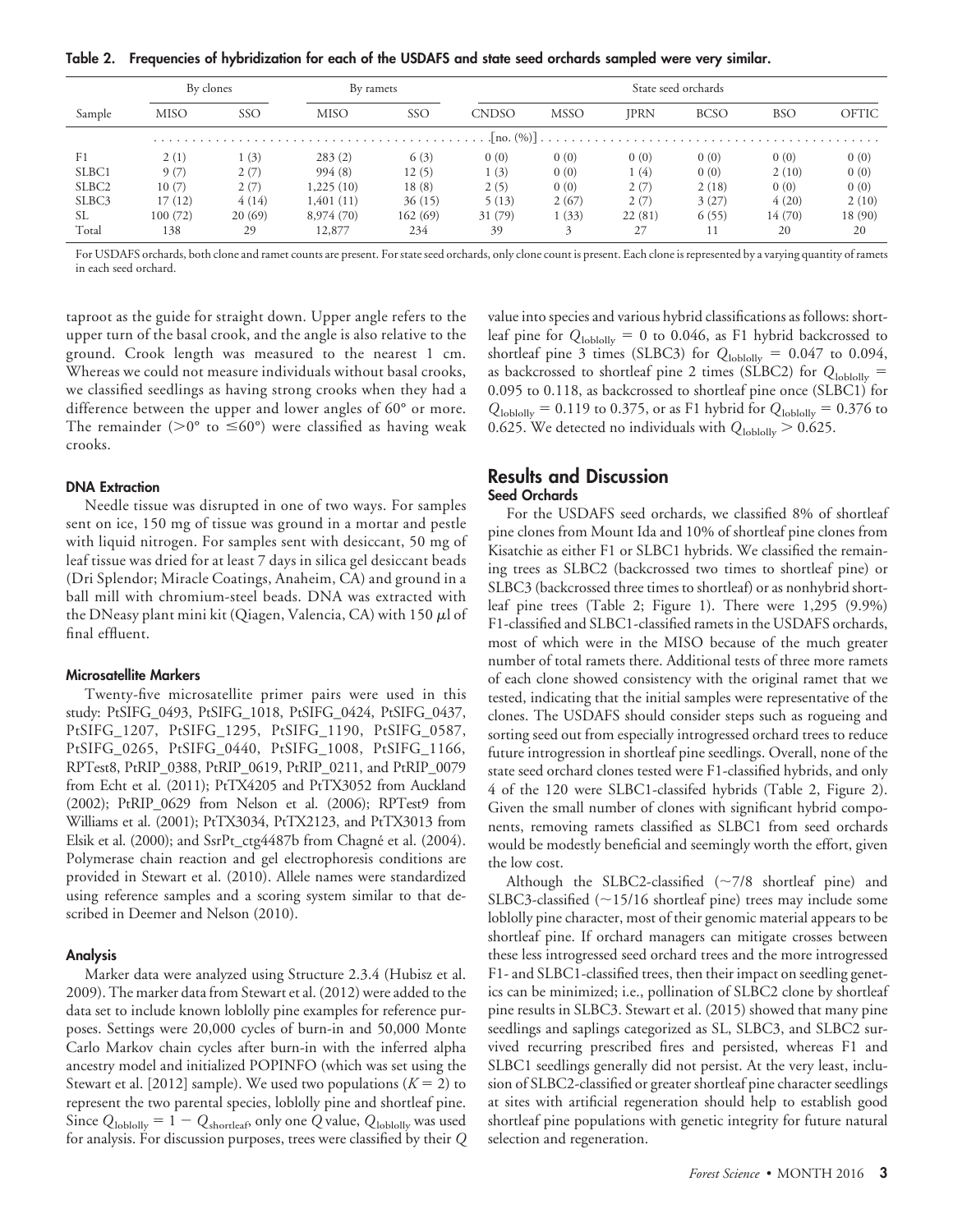**Table 2. Frequencies of hybridization for each of the USDAFS and state seed orchards sampled were very similar.**

|                   | By clones   |        | By ramets   |          | State seed orchards |             |             |             |            |         |
|-------------------|-------------|--------|-------------|----------|---------------------|-------------|-------------|-------------|------------|---------|
| Sample            | <b>MISO</b> | SSO    | <b>MISO</b> | SSO      | <b>CNDSO</b>        | <b>MSSO</b> | <b>JPRN</b> | <b>BCSO</b> | <b>BSO</b> | OFTIC   |
|                   |             |        |             |          |                     |             |             |             |            |         |
| F1                | 2(1)        | (3)    | 283(2)      | 6(3)     | 0(0)                | 0(0)        | 0(0)        | 0(0)        | 0(0)       | 0(0)    |
| SLBC1             | 9(7)        | 2(7)   | 994(8)      | 12(5)    | 1(3)                | 0(0)        | 1 (4)       | 0(0)        | 2(10)      | 0(0)    |
| SLBC <sub>2</sub> | 10(7)       | 2(7)   | 1,225(10)   | 18(8)    | 2(5)                | 0(0)        | 2(7)        | 2(18)       | 0(0)       | 0(0)    |
| SLBC3             | 17(12)      | 4(14)  | 1,401 (11)  | 36(15)   | 5(13)               | 2(67)       | 2(7)        | 3(27)       | 4(20)      | 2(10)   |
| SL.               | 100(72)     | 20(69) | 8,974 (70)  | 162 (69) | 31 (79)             | 1(33)       | 22(81)      | 6(55)       | 14(70)     | 18 (90) |
| Total             | 138         | 29     | 12,877      | 234      | 39                  |             | 27          |             | 20         | 20      |

For USDAFS orchards, both clone and ramet counts are present. For state seed orchards, only clone count is present. Each clone is represented by a varying quantity of ramets in each seed orchard.

taproot as the guide for straight down. Upper angle refers to the upper turn of the basal crook, and the angle is also relative to the ground. Crook length was measured to the nearest 1 cm. Whereas we could not measure individuals without basal crooks, we classified seedlings as having strong crooks when they had a difference between the upper and lower angles of 60° or more. The remainder ( $>0^{\circ}$  to  $\leq 60^{\circ}$ ) were classified as having weak crooks.

#### **DNA Extraction**

Needle tissue was disrupted in one of two ways. For samples sent on ice, 150 mg of tissue was ground in a mortar and pestle with liquid nitrogen. For samples sent with desiccant, 50 mg of leaf tissue was dried for at least 7 days in silica gel desiccant beads (Dri Splendor; Miracle Coatings, Anaheim, CA) and ground in a ball mill with chromium-steel beads. DNA was extracted with the DNeasy plant mini kit (Qiagen, Valencia, CA) with 150  $\mu$ l of final effluent.

#### **Microsatellite Markers**

Twenty-five microsatellite primer pairs were used in this study: PtSIFG\_0493, PtSIFG\_1018, PtSIFG\_0424, PtSIFG\_0437, PtSIFG\_1207, PtSIFG\_1295, PtSIFG\_1190, PtSIFG\_0587, PtSIFG\_0265, PtSIFG\_0440, PtSIFG\_1008, PtSIFG\_1166, RPTest8, PtRIP\_0388, PtRIP\_0619, PtRIP\_0211, and PtRIP\_0079 from Echt et al. (2011); PtTX4205 and PtTX3052 from Auckland (2002); PtRIP\_0629 from Nelson et al. (2006); RPTest9 from Williams et al. (2001); PtTX3034, PtTX2123, and PtTX3013 from Elsik et al.  $(2000)$ ; and SsrPt\_ctg4487b from Chagné et al.  $(2004)$ . Polymerase chain reaction and gel electrophoresis conditions are provided in Stewart et al. (2010). Allele names were standardized using reference samples and a scoring system similar to that described in Deemer and Nelson (2010).

#### **Analysis**

Marker data were analyzed using Structure 2.3.4 (Hubisz et al. 2009). The marker data from Stewart et al. (2012) were added to the data set to include known loblolly pine examples for reference purposes. Settings were 20,000 cycles of burn-in and 50,000 Monte Carlo Markov chain cycles after burn-in with the inferred alpha ancestry model and initialized POPINFO (which was set using the Stewart et al. [2012] sample). We used two populations  $(K = 2)$  to represent the two parental species, loblolly pine and shortleaf pine. Since  $Q_{\text{loblolly}} = 1 - Q_{\text{shortleaf}}$ , only one  $Q$  value,  $Q_{\text{loblolly}}$  was used for analysis. For discussion purposes, trees were classified by their *Q*

value into species and various hybrid classifications as follows: shortleaf pine for *Q*loblolly - 0 to 0.046, as F1 hybrid backcrossed to shortleaf pine 3 times (SLBC3) for  $Q_{\text{lobbolly}} = 0.047$  to 0.094, as backcrossed to shortleaf pine 2 times (SLBC2) for  $Q_{\text{loblolly}} =$ 0.095 to 0.118, as backcrossed to shortleaf pine once (SLBC1) for  $Q_{\text{loblolly}} = 0.119$  to 0.375, or as F1 hybrid for  $Q_{\text{loblolly}} = 0.376$  to 0.625. We detected no individuals with  $Q_{\text{lobbl}} > 0.625$ .

#### **Results and Discussion Seed Orchards**

For the USDAFS seed orchards, we classified 8% of shortleaf pine clones from Mount Ida and 10% of shortleaf pine clones from Kisatchie as either F1 or SLBC1 hybrids. We classified the remaining trees as SLBC2 (backcrossed two times to shortleaf pine) or SLBC3 (backcrossed three times to shortleaf) or as nonhybrid shortleaf pine trees (Table 2; Figure 1). There were 1,295 (9.9%) F1-classified and SLBC1-classified ramets in the USDAFS orchards, most of which were in the MISO because of the much greater number of total ramets there. Additional tests of three more ramets of each clone showed consistency with the original ramet that we tested, indicating that the initial samples were representative of the clones. The USDAFS should consider steps such as rogueing and sorting seed out from especially introgressed orchard trees to reduce future introgression in shortleaf pine seedlings. Overall, none of the state seed orchard clones tested were F1-classified hybrids, and only 4 of the 120 were SLBC1-classifed hybrids (Table 2, Figure 2). Given the small number of clones with significant hybrid components, removing ramets classified as SLBC1 from seed orchards would be modestly beneficial and seemingly worth the effort, given the low cost.

Although the SLBC2-classified  $(\sim 7/8$  shortleaf pine) and SLBC3-classified  $(~15/16$  shortleaf pine) trees may include some loblolly pine character, most of their genomic material appears to be shortleaf pine. If orchard managers can mitigate crosses between these less introgressed seed orchard trees and the more introgressed F1- and SLBC1-classified trees, then their impact on seedling genetics can be minimized; i.e., pollination of SLBC2 clone by shortleaf pine results in SLBC3. Stewart et al. (2015) showed that many pine seedlings and saplings categorized as SL, SLBC3, and SLBC2 survived recurring prescribed fires and persisted, whereas F1 and SLBC1 seedlings generally did not persist. At the very least, inclusion of SLBC2-classified or greater shortleaf pine character seedlings at sites with artificial regeneration should help to establish good shortleaf pine populations with genetic integrity for future natural selection and regeneration.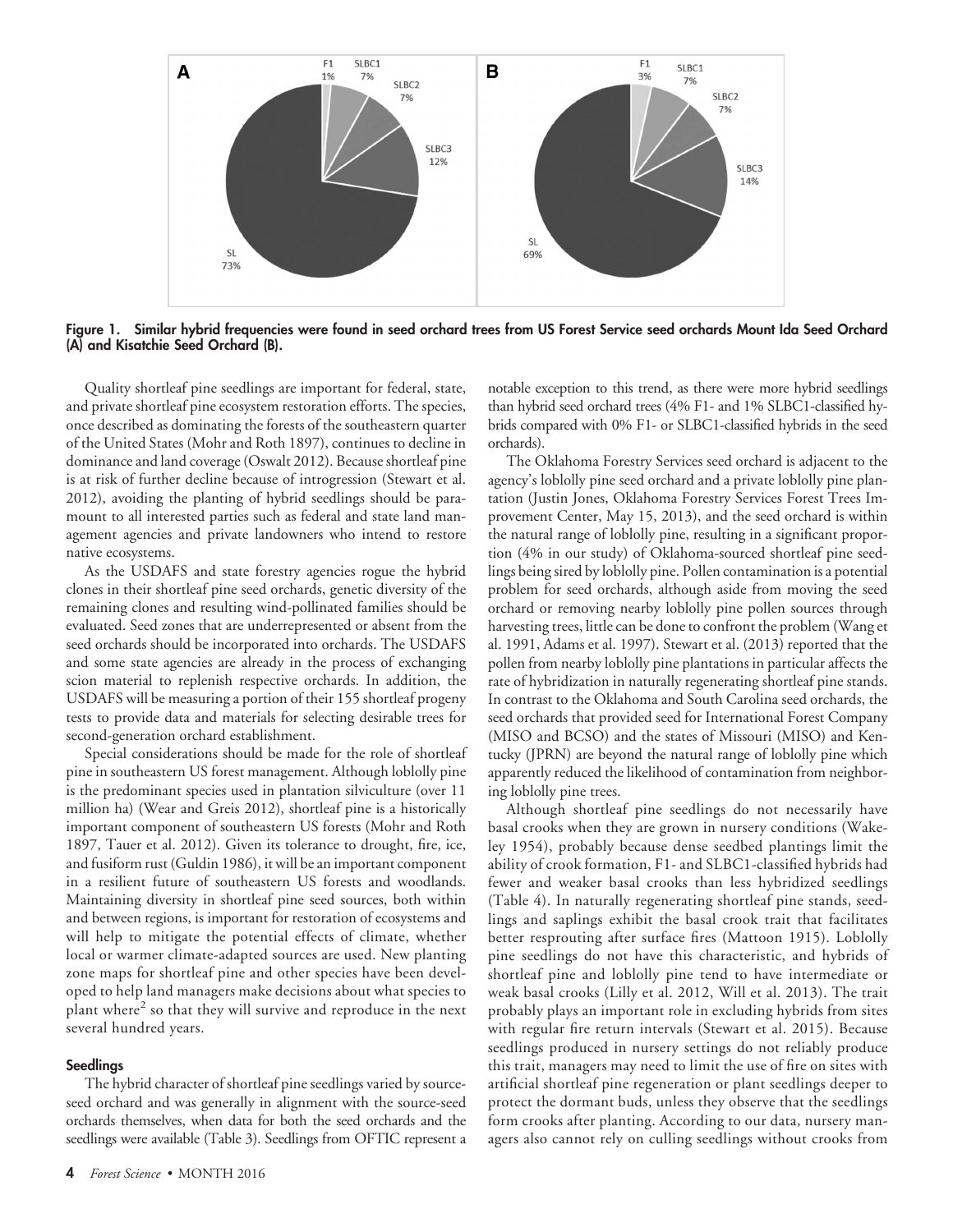

**Figure 1. Similar hybrid frequencies were found in seed orchard trees from US Forest Service seed orchards Mount Ida Seed Orchard (A) and Kisatchie Seed Orchard (B).**

Quality shortleaf pine seedlings are important for federal, state, and private shortleaf pine ecosystem restoration efforts. The species, once described as dominating the forests of the southeastern quarter of the United States (Mohr and Roth 1897), continues to decline in dominance and land coverage (Oswalt 2012). Because shortleaf pine is at risk of further decline because of introgression (Stewart et al. 2012), avoiding the planting of hybrid seedlings should be paramount to all interested parties such as federal and state land management agencies and private landowners who intend to restore native ecosystems.

As the USDAFS and state forestry agencies rogue the hybrid clones in their shortleaf pine seed orchards, genetic diversity of the remaining clones and resulting wind-pollinated families should be evaluated. Seed zones that are underrepresented or absent from the seed orchards should be incorporated into orchards. The USDAFS and some state agencies are already in the process of exchanging scion material to replenish respective orchards. In addition, the USDAFS will be measuring a portion of their 155 shortleaf progeny tests to provide data and materials for selecting desirable trees for second-generation orchard establishment.

Special considerations should be made for the role of shortleaf pine in southeastern US forest management. Although loblolly pine is the predominant species used in plantation silviculture (over 11 million ha) (Wear and Greis 2012), shortleaf pine is a historically important component of southeastern US forests (Mohr and Roth 1897, Tauer et al. 2012). Given its tolerance to drought, fire, ice, and fusiform rust (Guldin 1986), it will be an important component in a resilient future of southeastern US forests and woodlands. Maintaining diversity in shortleaf pine seed sources, both within and between regions, is important for restoration of ecosystems and will help to mitigate the potential effects of climate, whether local or warmer climate-adapted sources are used. New planting zone maps for shortleaf pine and other species have been developed to help land managers make decisions about what species to plant where<sup>2</sup> so that they will survive and reproduce in the next several hundred years.

#### **Seedlings**

The hybrid character of shortleaf pine seedlings varied by sourceseed orchard and was generally in alignment with the source-seed orchards themselves, when data for both the seed orchards and the seedlings were available (Table 3). Seedlings from OFTIC represent a

notable exception to this trend, as there were more hybrid seedlings than hybrid seed orchard trees (4% F1- and 1% SLBC1-classified hybrids compared with 0% F1- or SLBC1-classified hybrids in the seed orchards).

The Oklahoma Forestry Services seed orchard is adjacent to the agency's loblolly pine seed orchard and a private loblolly pine plantation (Justin Jones, Oklahoma Forestry Services Forest Trees Improvement Center, May 15, 2013), and the seed orchard is within the natural range of loblolly pine, resulting in a significant proportion (4% in our study) of Oklahoma-sourced shortleaf pine seedlings being sired by loblolly pine. Pollen contamination is a potential problem for seed orchards, although aside from moving the seed orchard or removing nearby loblolly pine pollen sources through harvesting trees, little can be done to confront the problem (Wang et al. 1991, Adams et al. 1997). Stewart et al. (2013) reported that the pollen from nearby loblolly pine plantations in particular affects the rate of hybridization in naturally regenerating shortleaf pine stands. In contrast to the Oklahoma and South Carolina seed orchards, the seed orchards that provided seed for International Forest Company (MISO and BCSO) and the states of Missouri (MISO) and Kentucky (JPRN) are beyond the natural range of loblolly pine which apparently reduced the likelihood of contamination from neighboring loblolly pine trees.

Although shortleaf pine seedlings do not necessarily have basal crooks when they are grown in nursery conditions (Wakeley 1954), probably because dense seedbed plantings limit the ability of crook formation, F1- and SLBC1-classified hybrids had fewer and weaker basal crooks than less hybridized seedlings (Table 4). In naturally regenerating shortleaf pine stands, seedlings and saplings exhibit the basal crook trait that facilitates better resprouting after surface fires (Mattoon 1915). Loblolly pine seedlings do not have this characteristic, and hybrids of shortleaf pine and loblolly pine tend to have intermediate or weak basal crooks (Lilly et al. 2012, Will et al. 2013). The trait probably plays an important role in excluding hybrids from sites with regular fire return intervals (Stewart et al. 2015). Because seedlings produced in nursery settings do not reliably produce this trait, managers may need to limit the use of fire on sites with artificial shortleaf pine regeneration or plant seedlings deeper to protect the dormant buds, unless they observe that the seedlings form crooks after planting. According to our data, nursery managers also cannot rely on culling seedlings without crooks from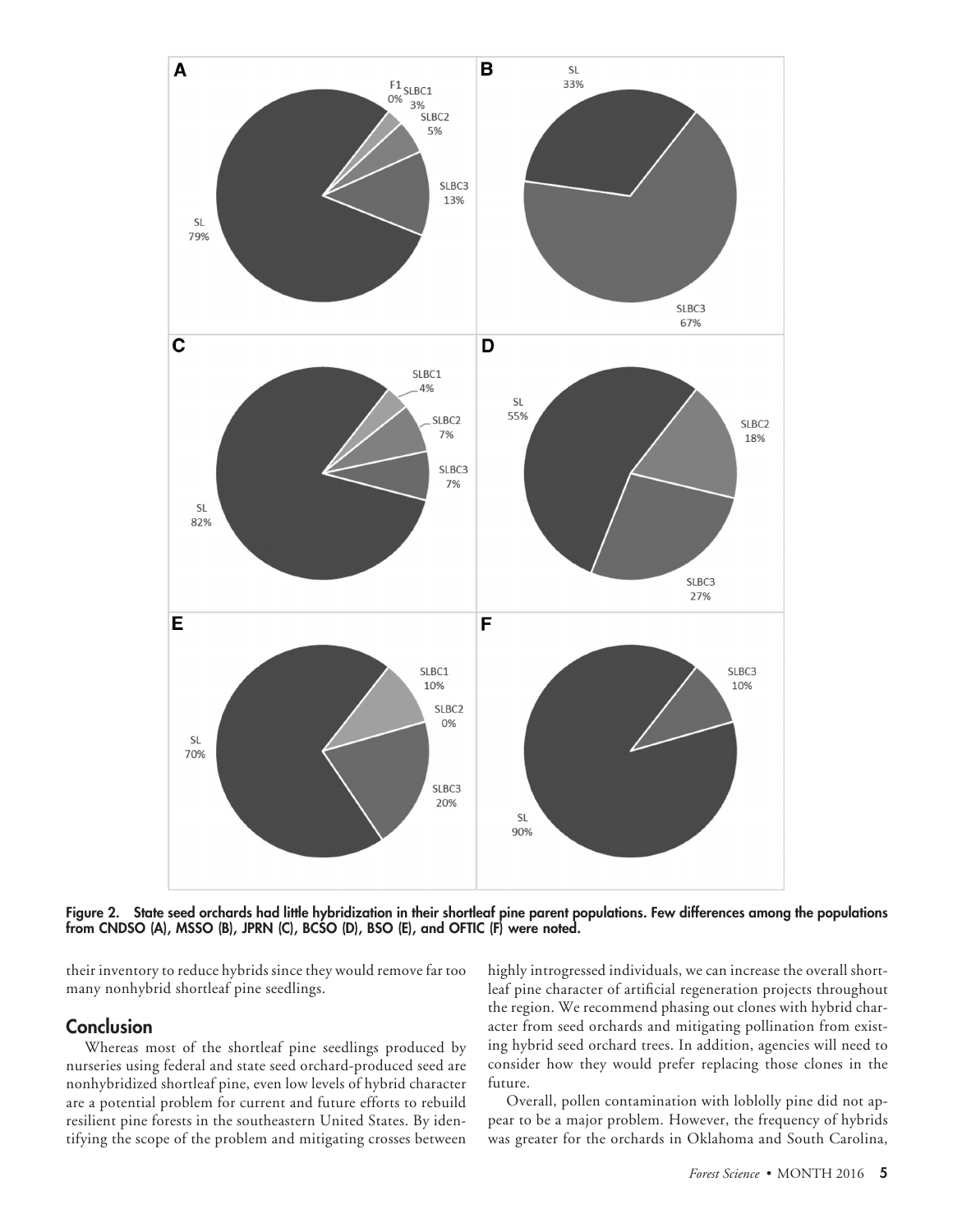

**Figure 2. State seed orchards had little hybridization in their shortleaf pine parent populations. Few differences among the populations from CNDSO (A), MSSO (B), JPRN (C), BCSO (D), BSO (E), and OFTIC (F) were noted.**

their inventory to reduce hybrids since they would remove far too many nonhybrid shortleaf pine seedlings.

## **Conclusion**

Whereas most of the shortleaf pine seedlings produced by nurseries using federal and state seed orchard-produced seed are nonhybridized shortleaf pine, even low levels of hybrid character are a potential problem for current and future efforts to rebuild resilient pine forests in the southeastern United States. By identifying the scope of the problem and mitigating crosses between highly introgressed individuals, we can increase the overall shortleaf pine character of artificial regeneration projects throughout the region. We recommend phasing out clones with hybrid character from seed orchards and mitigating pollination from existing hybrid seed orchard trees. In addition, agencies will need to consider how they would prefer replacing those clones in the future.

Overall, pollen contamination with loblolly pine did not appear to be a major problem. However, the frequency of hybrids was greater for the orchards in Oklahoma and South Carolina,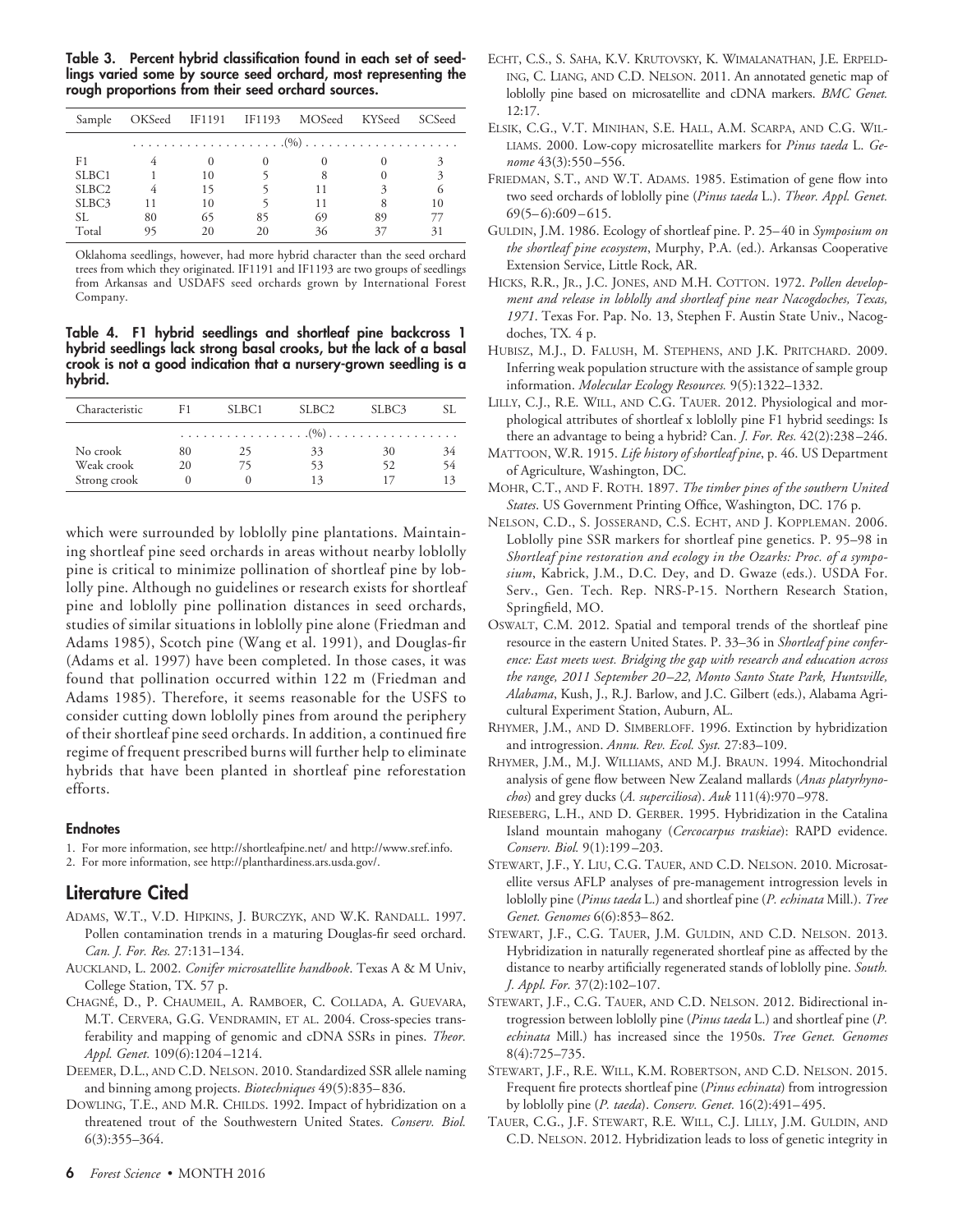**Table 3. Percent hybrid classification found in each set of seedlings varied some by source seed orchard, most representing the rough proportions from their seed orchard sources.**

|                   |    |    |    | Sample OKSeed IF1191 IF1193 MOSeed KYSeed SCSeed |    |   |
|-------------------|----|----|----|--------------------------------------------------|----|---|
|                   |    |    |    |                                                  |    |   |
| F1                |    |    |    |                                                  |    |   |
| SLBC1             |    | 10 |    |                                                  |    | 3 |
| SLBC <sub>2</sub> |    | 15 |    |                                                  |    |   |
| SLBC <sub>3</sub> |    | 10 |    |                                                  |    |   |
| SL.               | 80 | 65 | 85 | 69                                               | 89 |   |
| Total             | 95 |    |    |                                                  |    |   |

Oklahoma seedlings, however, had more hybrid character than the seed orchard trees from which they originated. IF1191 and IF1193 are two groups of seedlings from Arkansas and USDAFS seed orchards grown by International Forest Company.

**Table 4. F1 hybrid seedlings and shortleaf pine backcross 1 hybrid seedlings lack strong basal crooks, but the lack of a basal crook is not a good indication that a nursery-grown seedling is a hybrid.**

| Characteristic | F1.      | SLBC1 | SLBC2 | SLBC <sub>3</sub> |    |
|----------------|----------|-------|-------|-------------------|----|
|                |          |       |       |                   |    |
| No crook       | 80       | 25    | 33    | 30                | 34 |
| Weak crook     | 20       |       | 53    | 52                | 54 |
| Strong crook   | $\theta$ |       | 13    | 17                | 13 |

which were surrounded by loblolly pine plantations. Maintaining shortleaf pine seed orchards in areas without nearby loblolly pine is critical to minimize pollination of shortleaf pine by loblolly pine. Although no guidelines or research exists for shortleaf pine and loblolly pine pollination distances in seed orchards, studies of similar situations in loblolly pine alone (Friedman and Adams 1985), Scotch pine (Wang et al. 1991), and Douglas-fir (Adams et al. 1997) have been completed. In those cases, it was found that pollination occurred within 122 m (Friedman and Adams 1985). Therefore, it seems reasonable for the USFS to consider cutting down loblolly pines from around the periphery of their shortleaf pine seed orchards. In addition, a continued fire regime of frequent prescribed burns will further help to eliminate hybrids that have been planted in shortleaf pine reforestation efforts.

#### **Endnotes**

- 1. For more information, see<http://shortleafpine.net/> and [http://www.sref.info.](http://www.sref.info)
- 2. For more information, see [http://planthardiness.ars.usda.gov/.](http://planthardiness.ars.usda.gov/)

## **Literature Cited**

- ADAMS, W.T., V.D. HIPKINS, J. BURCZYK, AND W.K. RANDALL. 1997. Pollen contamination trends in a maturing Douglas-fir seed orchard. *Can. J. For. Res.* 27:131–134.
- AUCKLAND, L. 2002. Conifer microsatellite handbook. Texas A & M Univ, College Station, TX. 57 p.
- CHAGNE´, D., P. CHAUMEIL, A. RAMBOER, C. COLLADA, A. GUEVARA, M.T. CERVERA, G.G. VENDRAMIN, ET AL. 2004. Cross-species transferability and mapping of genomic and cDNA SSRs in pines. *Theor. Appl. Genet.* 109(6):1204–1214.
- DEEMER, D.L., AND C.D. NELSON. 2010. Standardized SSR allele naming and binning among projects. *Biotechniques* 49(5):835–836.
- DOWLING, T.E., AND M.R. CHILDS. 1992. Impact of hybridization on a threatened trout of the Southwestern United States. *Conserv. Biol.* 6(3):355–364.
- ECHT, C.S., S. SAHA, K.V. KRUTOVSKY, K. WIMALANATHAN, J.E. ERPELD-ING, C. LIANG, AND C.D. NELSON. 2011. An annotated genetic map of loblolly pine based on microsatellite and cDNA markers. *BMC Genet.* 12:17.
- ELSIK, C.G., V.T. MINIHAN, S.E. HALL, A.M. SCARPA, AND C.G. WIL-LIAMS. 2000. Low-copy microsatellite markers for *Pinus taeda* L. *Genome* 43(3):550–556.
- FRIEDMAN, S.T., AND W.T. ADAMS. 1985. Estimation of gene flow into two seed orchards of loblolly pine (*Pinus taeda* L.). *Theor. Appl. Genet.* 69(5–6):609–615.
- GULDIN, J.M. 1986. Ecology of shortleaf pine. P. 25–40 in *Symposium on the shortleaf pine ecosystem*, Murphy, P.A. (ed.). Arkansas Cooperative Extension Service, Little Rock, AR.
- HICKS, R.R., JR., J.C. JONES, AND M.H. COTTON. 1972. *Pollen development and release in loblolly and shortleaf pine near Nacogdoches, Texas, 1971*. Texas For. Pap. No. 13, Stephen F. Austin State Univ., Nacogdoches, TX*.* 4 p.
- HUBISZ, M.J., D. FALUSH, M. STEPHENS, AND J.K. PRITCHARD. 2009. Inferring weak population structure with the assistance of sample group information. *Molecular Ecology Resources.* 9(5):1322–1332.
- LILLY, C.J., R.E. WILL, AND C.G. TAUER. 2012. Physiological and morphological attributes of shortleaf x loblolly pine F1 hybrid seedings: Is there an advantage to being a hybrid? Can. *J. For. Res.* 42(2):238–246.
- MATTOON, W.R. 1915. *Life history of shortleaf pine*, p. 46. US Department of Agriculture, Washington, DC.
- MOHR, C.T., AND F. ROTH. 1897. *The timber pines of the southern United States*. US Government Printing Office, Washington, DC. 176 p.
- NELSON, C.D., S. JOSSERAND, C.S. ECHT, AND J. KOPPLEMAN. 2006. Loblolly pine SSR markers for shortleaf pine genetics. P. 95–98 in *Shortleaf pine restoration and ecology in the Ozarks: Proc. of a symposium*, Kabrick, J.M., D.C. Dey, and D. Gwaze (eds.). USDA For. Serv., Gen. Tech. Rep. NRS-P-15. Northern Research Station, Springfield, MO.
- OSWALT, C.M. 2012. Spatial and temporal trends of the shortleaf pine resource in the eastern United States. P. 33–36 in *Shortleaf pine conference: East meets west. Bridging the gap with research and education across the range, 2011 September 20 –22, Monto Santo State Park, Huntsville, Alabama*, Kush, J., R.J. Barlow, and J.C. Gilbert (eds.), Alabama Agricultural Experiment Station, Auburn, AL.
- RHYMER, J.M., AND D. SIMBERLOFF. 1996. Extinction by hybridization and introgression. *Annu. Rev. Ecol. Syst.* 27:83–109.
- RHYMER, J.M., M.J. WILLIAMS, AND M.J. BRAUN. 1994. Mitochondrial analysis of gene flow between New Zealand mallards (*Anas platyrhynochos*) and grey ducks (*A. superciliosa*). *Auk* 111(4):970–978.
- RIESEBERG, L.H., AND D. GERBER. 1995. Hybridization in the Catalina Island mountain mahogany (*Cercocarpus traskiae*): RAPD evidence. *Conserv. Biol.* 9(1):199–203.
- STEWART, J.F., Y. LIU, C.G. TAUER, AND C.D. NELSON. 2010. Microsatellite versus AFLP analyses of pre-management introgression levels in loblolly pine (*Pinus taeda* L.) and shortleaf pine (*P. echinata* Mill.). *Tree Genet. Genomes* 6(6):853–862.
- STEWART, J.F., C.G. TAUER, J.M. GULDIN, AND C.D. NELSON. 2013. Hybridization in naturally regenerated shortleaf pine as affected by the distance to nearby artificially regenerated stands of loblolly pine. *South. J. Appl. For.* 37(2):102–107.
- STEWART, J.F., C.G. TAUER, AND C.D. NELSON. 2012. Bidirectional introgression between loblolly pine (*Pinus taeda* L.) and shortleaf pine (*P. echinata* Mill.) has increased since the 1950s. *Tree Genet. Genomes* 8(4):725–735.
- STEWART, J.F., R.E. WILL, K.M. ROBERTSON, AND C.D. NELSON. 2015. Frequent fire protects shortleaf pine (*Pinus echinata*) from introgression by loblolly pine (*P. taeda*). *Conserv. Genet.* 16(2):491–495.
- TAUER, C.G., J.F. STEWART, R.E. WILL, C.J. LILLY, J.M. GULDIN, AND C.D. NELSON. 2012. Hybridization leads to loss of genetic integrity in